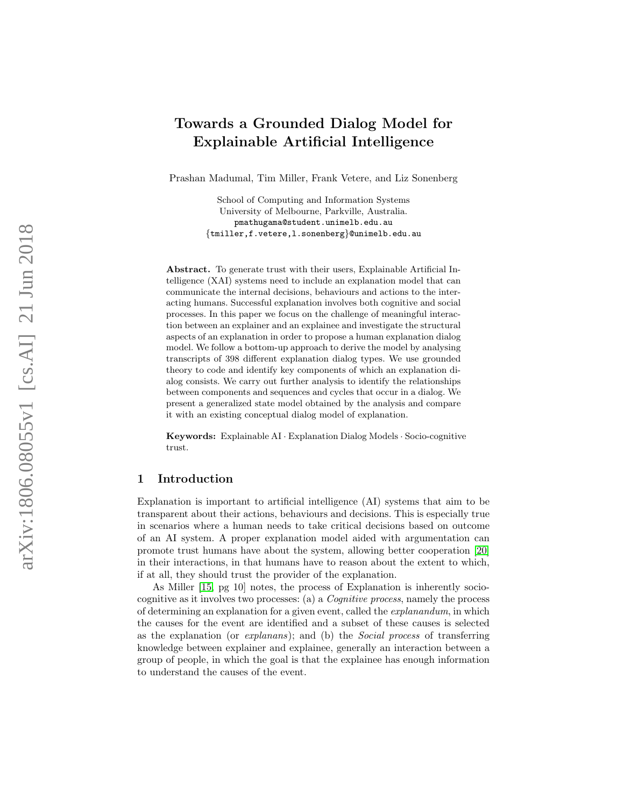# Towards a Grounded Dialog Model for Explainable Artificial Intelligence

Prashan Madumal, Tim Miller, Frank Vetere, and Liz Sonenberg

School of Computing and Information Systems University of Melbourne, Parkville, Australia. pmathugama@student.unimelb.edu.au {tmiller,f.vetere,l.sonenberg }@unimelb.edu.au

Abstract. To generate trust with their users, Explainable Artificial Intelligence (XAI) systems need to include an explanation model that can communicate the internal decisions, behaviours and actions to the interacting humans. Successful explanation involves both cognitive and social processes. In this paper we focus on the challenge of meaningful interaction between an explainer and an explainee and investigate the structural aspects of an explanation in order to propose a human explanation dialog model. We follow a bottom-up approach to derive the model by analysing transcripts of 398 different explanation dialog types. We use grounded theory to code and identify key components of which an explanation dialog consists. We carry out further analysis to identify the relationships between components and sequences and cycles that occur in a dialog. We present a generalized state model obtained by the analysis and compare it with an existing conceptual dialog model of explanation.

Keywords: Explainable AI · Explanation Dialog Models · Socio-cognitive trust.

# 1 Introduction

Explanation is important to artificial intelligence (AI) systems that aim to be transparent about their actions, behaviours and decisions. This is especially true in scenarios where a human needs to take critical decisions based on outcome of an AI system. A proper explanation model aided with argumentation can promote trust humans have about the system, allowing better cooperation [\[20\]](#page-14-0) in their interactions, in that humans have to reason about the extent to which, if at all, they should trust the provider of the explanation.

As Miller [\[15,](#page-14-1) pg 10] notes, the process of Explanation is inherently sociocognitive as it involves two processes: (a) a Cognitive process, namely the process of determining an explanation for a given event, called the explanandum, in which the causes for the event are identified and a subset of these causes is selected as the explanation (or explanans); and (b) the Social process of transferring knowledge between explainer and explainee, generally an interaction between a group of people, in which the goal is that the explainee has enough information to understand the causes of the event.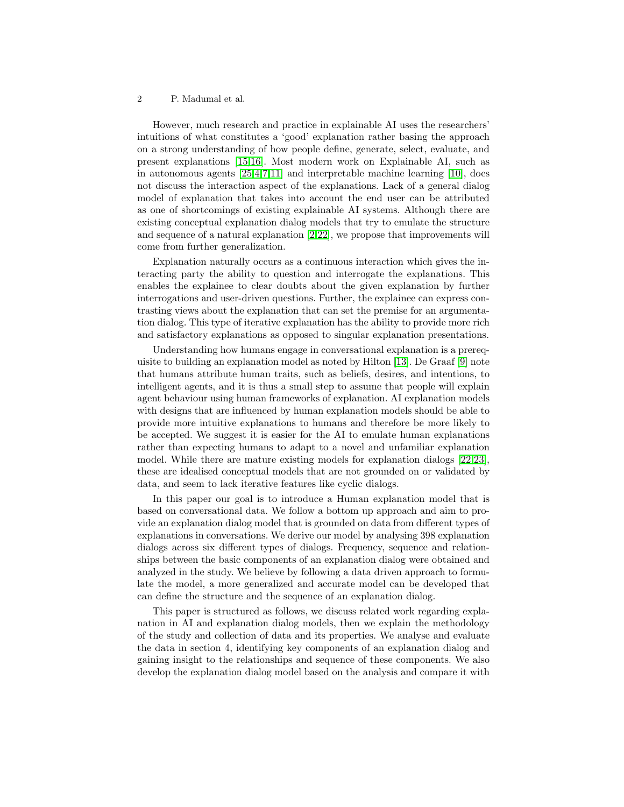However, much research and practice in explainable AI uses the researchers' intuitions of what constitutes a 'good' explanation rather basing the approach on a strong understanding of how people define, generate, select, evaluate, and present explanations [\[15](#page-14-1)[,16\]](#page-14-2). Most modern work on Explainable AI, such as in autonomous agents [\[25](#page-14-3)[,4,](#page-13-0)[7,](#page-13-1)[11\]](#page-14-4) and interpretable machine learning [\[10\]](#page-14-5), does not discuss the interaction aspect of the explanations. Lack of a general dialog model of explanation that takes into account the end user can be attributed as one of shortcomings of existing explainable AI systems. Although there are existing conceptual explanation dialog models that try to emulate the structure and sequence of a natural explanation [\[2,](#page-13-2)[22\]](#page-14-6), we propose that improvements will come from further generalization.

Explanation naturally occurs as a continuous interaction which gives the interacting party the ability to question and interrogate the explanations. This enables the explainee to clear doubts about the given explanation by further interrogations and user-driven questions. Further, the explainee can express contrasting views about the explanation that can set the premise for an argumentation dialog. This type of iterative explanation has the ability to provide more rich and satisfactory explanations as opposed to singular explanation presentations.

Understanding how humans engage in conversational explanation is a prerequisite to building an explanation model as noted by Hilton [\[13\]](#page-14-7). De Graaf [\[9\]](#page-14-8) note that humans attribute human traits, such as beliefs, desires, and intentions, to intelligent agents, and it is thus a small step to assume that people will explain agent behaviour using human frameworks of explanation. AI explanation models with designs that are influenced by human explanation models should be able to provide more intuitive explanations to humans and therefore be more likely to be accepted. We suggest it is easier for the AI to emulate human explanations rather than expecting humans to adapt to a novel and unfamiliar explanation model. While there are mature existing models for explanation dialogs [\[22,](#page-14-6)[23\]](#page-14-9), these are idealised conceptual models that are not grounded on or validated by data, and seem to lack iterative features like cyclic dialogs.

In this paper our goal is to introduce a Human explanation model that is based on conversational data. We follow a bottom up approach and aim to provide an explanation dialog model that is grounded on data from different types of explanations in conversations. We derive our model by analysing 398 explanation dialogs across six different types of dialogs. Frequency, sequence and relationships between the basic components of an explanation dialog were obtained and analyzed in the study. We believe by following a data driven approach to formulate the model, a more generalized and accurate model can be developed that can define the structure and the sequence of an explanation dialog.

This paper is structured as follows, we discuss related work regarding explanation in AI and explanation dialog models, then we explain the methodology of the study and collection of data and its properties. We analyse and evaluate the data in section 4, identifying key components of an explanation dialog and gaining insight to the relationships and sequence of these components. We also develop the explanation dialog model based on the analysis and compare it with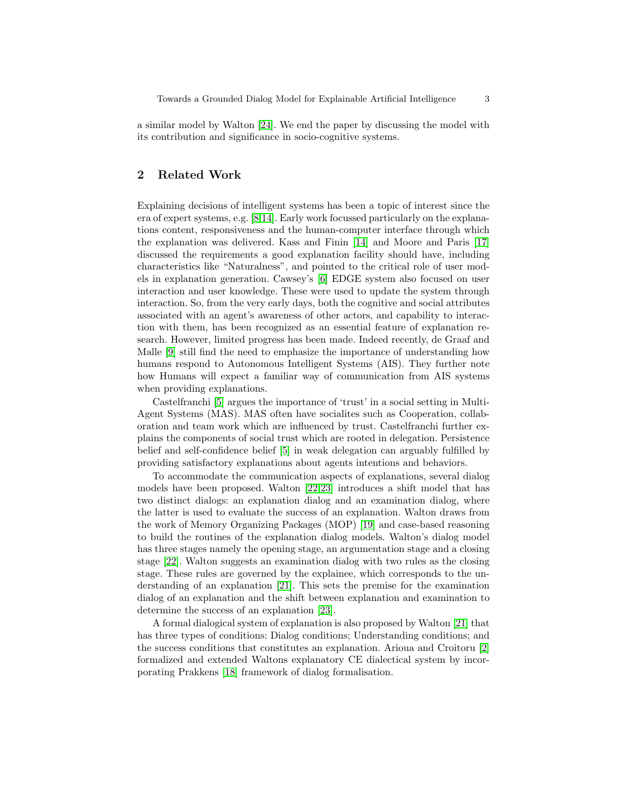a similar model by Walton [\[24\]](#page-14-10). We end the paper by discussing the model with its contribution and significance in socio-cognitive systems.

# 2 Related Work

Explaining decisions of intelligent systems has been a topic of interest since the era of expert systems, e.g. [\[8,](#page-14-11)[14\]](#page-14-12). Early work focussed particularly on the explanations content, responsiveness and the human-computer interface through which the explanation was delivered. Kass and Finin [\[14\]](#page-14-12) and Moore and Paris [\[17\]](#page-14-13) discussed the requirements a good explanation facility should have, including characteristics like "Naturalness", and pointed to the critical role of user models in explanation generation. Cawsey's [\[6\]](#page-13-3) EDGE system also focused on user interaction and user knowledge. These were used to update the system through interaction. So, from the very early days, both the cognitive and social attributes associated with an agent's awareness of other actors, and capability to interaction with them, has been recognized as an essential feature of explanation research. However, limited progress has been made. Indeed recently, de Graaf and Malle [\[9\]](#page-14-8) still find the need to emphasize the importance of understanding how humans respond to Autonomous Intelligent Systems (AIS). They further note how Humans will expect a familiar way of communication from AIS systems when providing explanations.

Castelfranchi [\[5\]](#page-13-4) argues the importance of 'trust' in a social setting in Multi-Agent Systems (MAS). MAS often have socialites such as Cooperation, collaboration and team work which are influenced by trust. Castelfranchi further explains the components of social trust which are rooted in delegation. Persistence belief and self-confidence belief [\[5\]](#page-13-4) in weak delegation can arguably fulfilled by providing satisfactory explanations about agents intentions and behaviors.

To accommodate the communication aspects of explanations, several dialog models have been proposed. Walton [\[22,](#page-14-6)[23\]](#page-14-9) introduces a shift model that has two distinct dialogs: an explanation dialog and an examination dialog, where the latter is used to evaluate the success of an explanation. Walton draws from the work of Memory Organizing Packages (MOP) [\[19\]](#page-14-14) and case-based reasoning to build the routines of the explanation dialog models. Walton's dialog model has three stages namely the opening stage, an argumentation stage and a closing stage [\[22\]](#page-14-6). Walton suggests an examination dialog with two rules as the closing stage. These rules are governed by the explainee, which corresponds to the understanding of an explanation [\[21\]](#page-14-15). This sets the premise for the examination dialog of an explanation and the shift between explanation and examination to determine the success of an explanation [\[23\]](#page-14-9).

A formal dialogical system of explanation is also proposed by Walton [\[21\]](#page-14-15) that has three types of conditions: Dialog conditions; Understanding conditions; and the success conditions that constitutes an explanation. Arioua and Croitoru [\[2\]](#page-13-2) formalized and extended Waltons explanatory CE dialectical system by incorporating Prakkens [\[18\]](#page-14-16) framework of dialog formalisation.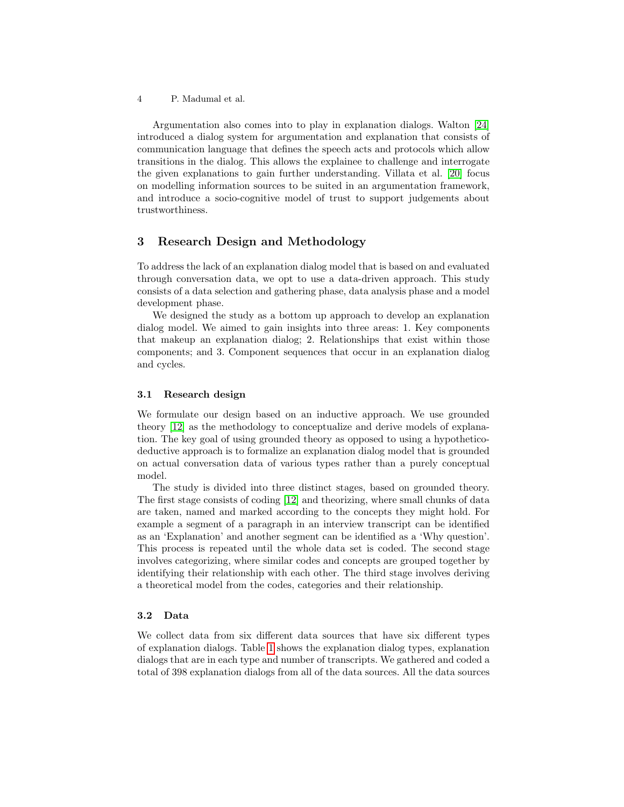Argumentation also comes into to play in explanation dialogs. Walton [\[24\]](#page-14-10) introduced a dialog system for argumentation and explanation that consists of communication language that defines the speech acts and protocols which allow transitions in the dialog. This allows the explainee to challenge and interrogate the given explanations to gain further understanding. Villata et al. [\[20\]](#page-14-0) focus on modelling information sources to be suited in an argumentation framework, and introduce a socio-cognitive model of trust to support judgements about trustworthiness.

### 3 Research Design and Methodology

To address the lack of an explanation dialog model that is based on and evaluated through conversation data, we opt to use a data-driven approach. This study consists of a data selection and gathering phase, data analysis phase and a model development phase.

We designed the study as a bottom up approach to develop an explanation dialog model. We aimed to gain insights into three areas: 1. Key components that makeup an explanation dialog; 2. Relationships that exist within those components; and 3. Component sequences that occur in an explanation dialog and cycles.

#### 3.1 Research design

We formulate our design based on an inductive approach. We use grounded theory [\[12\]](#page-14-17) as the methodology to conceptualize and derive models of explanation. The key goal of using grounded theory as opposed to using a hypotheticodeductive approach is to formalize an explanation dialog model that is grounded on actual conversation data of various types rather than a purely conceptual model.

The study is divided into three distinct stages, based on grounded theory. The first stage consists of coding [\[12\]](#page-14-17) and theorizing, where small chunks of data are taken, named and marked according to the concepts they might hold. For example a segment of a paragraph in an interview transcript can be identified as an 'Explanation' and another segment can be identified as a 'Why question'. This process is repeated until the whole data set is coded. The second stage involves categorizing, where similar codes and concepts are grouped together by identifying their relationship with each other. The third stage involves deriving a theoretical model from the codes, categories and their relationship.

#### 3.2 Data

We collect data from six different data sources that have six different types of explanation dialogs. Table [1](#page-4-0) shows the explanation dialog types, explanation dialogs that are in each type and number of transcripts. We gathered and coded a total of 398 explanation dialogs from all of the data sources. All the data sources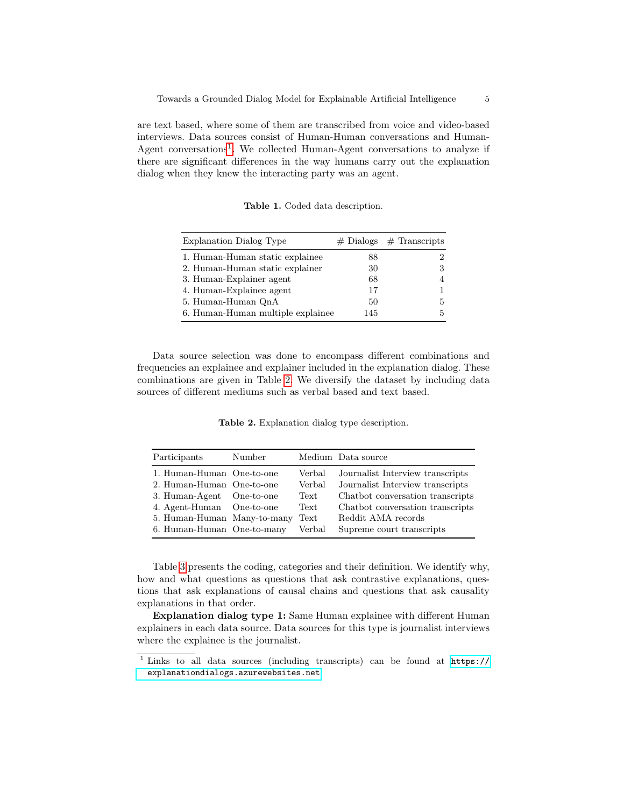are text based, where some of them are transcribed from voice and video-based interviews. Data sources consist of Human-Human conversations and Human-Agent conversations<sup>[1](#page-4-1)</sup>. We collected Human-Agent conversations to analyze if there are significant differences in the way humans carry out the explanation dialog when they knew the interacting party was an agent.

<span id="page-4-0"></span>

|  |  | Table 1. Coded data description. |
|--|--|----------------------------------|
|  |  |                                  |

| Explanation Dialog Type           |     | $# \text{ Dialogs}$ # Transcripts |
|-----------------------------------|-----|-----------------------------------|
| 1. Human-Human static explainee   | 88  |                                   |
| 2. Human-Human static explainer   | 30  |                                   |
| 3. Human-Explainer agent          | 68  |                                   |
| 4. Human-Explainee agent          | 17  |                                   |
| 5. Human-Human QnA                | 50  | 5                                 |
| 6. Human-Human multiple explainee | 145 | 5                                 |

Data source selection was done to encompass different combinations and frequencies an explainee and explainer included in the explanation dialog. These combinations are given in Table [2.](#page-4-2) We diversify the dataset by including data sources of different mediums such as verbal based and text based.

<span id="page-4-2"></span>Table 2. Explanation dialog type description.

| Participants                | Number     |        | Medium Data source               |
|-----------------------------|------------|--------|----------------------------------|
| 1. Human-Human One-to-one   |            | Verbal | Journalist Interview transcripts |
| 2. Human-Human One-to-one   |            | Verbal | Journalist Interview transcripts |
| 3. Human-Agent              | One-to-one | Text   | Chatbot conversation transcripts |
| 4. Agent-Human              | One-to-one | Text   | Chatbot conversation transcripts |
| 5. Human-Human Many-to-many |            | Text   | Reddit AMA records               |
| 6. Human-Human One-to-many  |            | Verbal | Supreme court transcripts        |

Table [3](#page-5-0) presents the coding, categories and their definition. We identify why, how and what questions as questions that ask contrastive explanations, questions that ask explanations of causal chains and questions that ask causality explanations in that order.

Explanation dialog type 1: Same Human explainee with different Human explainers in each data source. Data sources for this type is journalist interviews where the explainee is the journalist.

<span id="page-4-1"></span><sup>1</sup> Links to all data sources (including transcripts) can be found at [https://](https://explanationdialogs.azurewebsites.net) [explanationdialogs.azurewebsites.net](https://explanationdialogs.azurewebsites.net)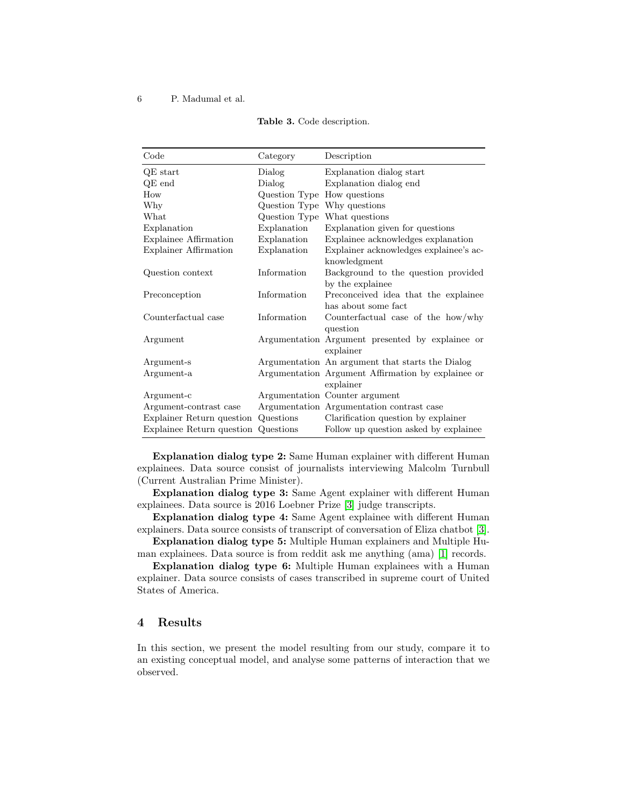| Code                      | Category                    | Description                                                     |
|---------------------------|-----------------------------|-----------------------------------------------------------------|
| $QE$ start                | Dialog                      | Explanation dialog start                                        |
| $QE$ end                  | Dialog                      | Explanation dialog end                                          |
| How                       | Question Type How questions |                                                                 |
| Why                       | Question Type Why questions |                                                                 |
| What                      |                             | Question Type What questions                                    |
| Explanation               | Explanation                 | Explanation given for questions                                 |
| Explainee Affirmation     | Explanation                 | Explainee acknowledges explanation                              |
| Explainer Affirmation     | Explanation                 | Explainer acknowledges explainee's ac-<br>knowledgment          |
| Question context          | Information                 | Background to the question provided<br>by the explainee         |
| Preconception             | Information                 | Preconceived idea that the explainee<br>has about some fact     |
| Counterfactual case       | Information                 | Counterfactual case of the how/why<br>question                  |
| Argument                  |                             | Argumentation Argument presented by explainee or<br>explainer   |
| Argument-s                |                             | Argumentation An argument that starts the Dialog                |
| Argument-a                |                             | Argumentation Argument Affirmation by explainee or<br>explainer |
| Argument-c                |                             | Argumentation Counter argument                                  |
| Argument-contrast case    |                             | Argumentation Argumentation contrast case                       |
| Explainer Return question | Questions                   | Clarification question by explainer                             |
| Explainee Return question | Questions                   | Follow up question asked by explainee                           |

<span id="page-5-0"></span>

| Table 3. Code description. |  |
|----------------------------|--|
|----------------------------|--|

Explanation dialog type 2: Same Human explainer with different Human explainees. Data source consist of journalists interviewing Malcolm Turnbull (Current Australian Prime Minister).

Explanation dialog type 3: Same Agent explainer with different Human explainees. Data source is 2016 Loebner Prize [\[3\]](#page-13-5) judge transcripts.

Explanation dialog type 4: Same Agent explainee with different Human explainers. Data source consists of transcript of conversation of Eliza chatbot [\[3\]](#page-13-5).

Explanation dialog type 5: Multiple Human explainers and Multiple Human explainees. Data source is from reddit ask me anything (ama) [\[1\]](#page-13-6) records.

Explanation dialog type 6: Multiple Human explainees with a Human explainer. Data source consists of cases transcribed in supreme court of United States of America.

# 4 Results

In this section, we present the model resulting from our study, compare it to an existing conceptual model, and analyse some patterns of interaction that we observed.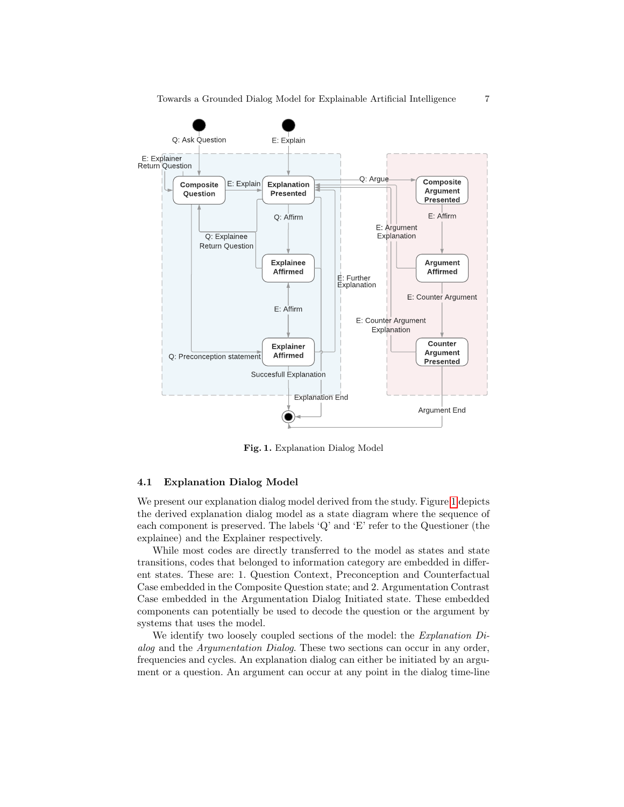

<span id="page-6-0"></span>Fig. 1. Explanation Dialog Model

#### 4.1 Explanation Dialog Model

We present our explanation dialog model derived from the study. Figure [1](#page-6-0) depicts the derived explanation dialog model as a state diagram where the sequence of each component is preserved. The labels 'Q' and 'E' refer to the Questioner (the explainee) and the Explainer respectively.

While most codes are directly transferred to the model as states and state transitions, codes that belonged to information category are embedded in different states. These are: 1. Question Context, Preconception and Counterfactual Case embedded in the Composite Question state; and 2. Argumentation Contrast Case embedded in the Argumentation Dialog Initiated state. These embedded components can potentially be used to decode the question or the argument by systems that uses the model.

We identify two loosely coupled sections of the model: the *Explanation Di*alog and the Argumentation Dialog. These two sections can occur in any order, frequencies and cycles. An explanation dialog can either be initiated by an argument or a question. An argument can occur at any point in the dialog time-line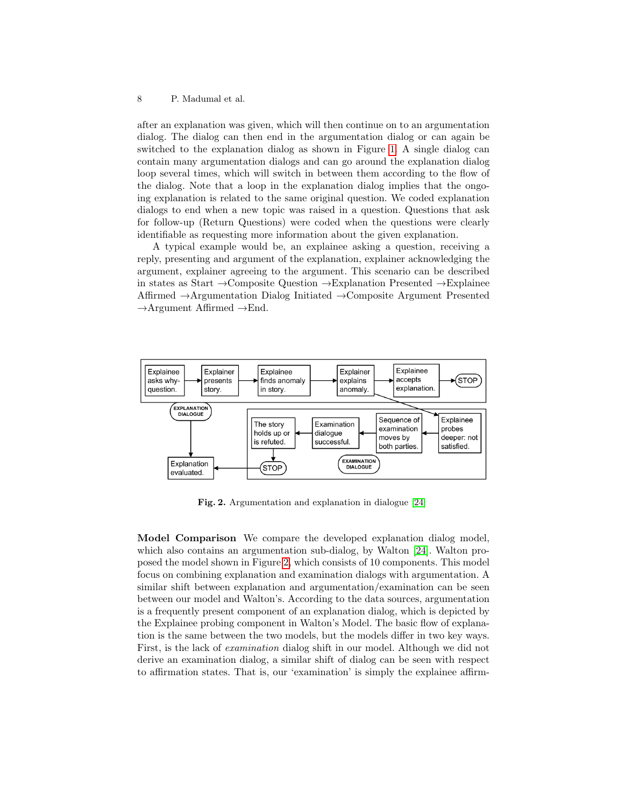after an explanation was given, which will then continue on to an argumentation dialog. The dialog can then end in the argumentation dialog or can again be switched to the explanation dialog as shown in Figure [1.](#page-6-0) A single dialog can contain many argumentation dialogs and can go around the explanation dialog loop several times, which will switch in between them according to the flow of the dialog. Note that a loop in the explanation dialog implies that the ongoing explanation is related to the same original question. We coded explanation dialogs to end when a new topic was raised in a question. Questions that ask for follow-up (Return Questions) were coded when the questions were clearly identifiable as requesting more information about the given explanation.

A typical example would be, an explainee asking a question, receiving a reply, presenting and argument of the explanation, explainer acknowledging the argument, explainer agreeing to the argument. This scenario can be described in states as Start →Composite Question →Explanation Presented →Explainee Affirmed →Argumentation Dialog Initiated →Composite Argument Presented  $\rightarrow$ Argument Affirmed  $\rightarrow$ End.



<span id="page-7-0"></span>Fig. 2. Argumentation and explanation in dialogue [\[24\]](#page-14-10)

Model Comparison We compare the developed explanation dialog model, which also contains an argumentation sub-dialog, by Walton [\[24\]](#page-14-10). Walton proposed the model shown in Figure [2,](#page-7-0) which consists of 10 components. This model focus on combining explanation and examination dialogs with argumentation. A similar shift between explanation and argumentation/examination can be seen between our model and Walton's. According to the data sources, argumentation is a frequently present component of an explanation dialog, which is depicted by the Explainee probing component in Walton's Model. The basic flow of explanation is the same between the two models, but the models differ in two key ways. First, is the lack of examination dialog shift in our model. Although we did not derive an examination dialog, a similar shift of dialog can be seen with respect to affirmation states. That is, our 'examination' is simply the explainee affirm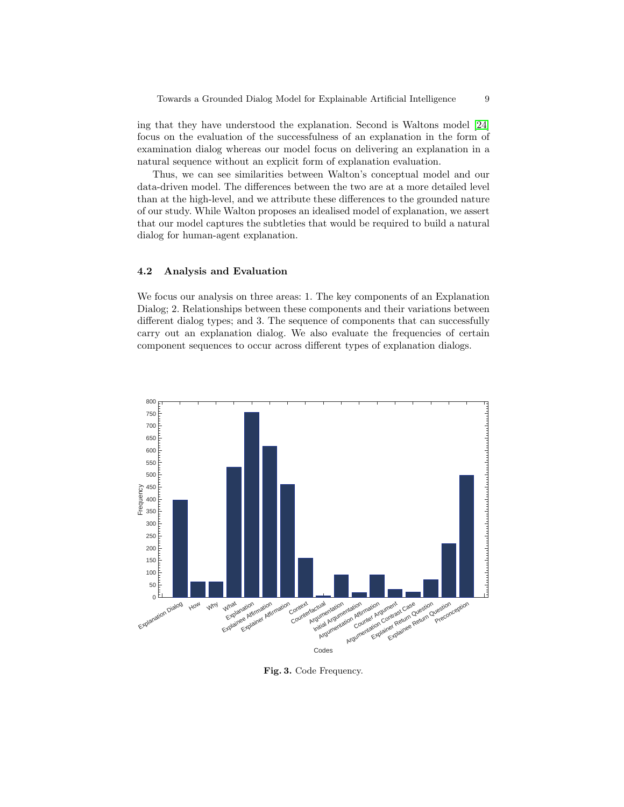ing that they have understood the explanation. Second is Waltons model [\[24\]](#page-14-10) focus on the evaluation of the successfulness of an explanation in the form of examination dialog whereas our model focus on delivering an explanation in a natural sequence without an explicit form of explanation evaluation.

Thus, we can see similarities between Walton's conceptual model and our data-driven model. The differences between the two are at a more detailed level than at the high-level, and we attribute these differences to the grounded nature of our study. While Walton proposes an idealised model of explanation, we assert that our model captures the subtleties that would be required to build a natural dialog for human-agent explanation.

#### 4.2 Analysis and Evaluation

We focus our analysis on three areas: 1. The key components of an Explanation Dialog; 2. Relationships between these components and their variations between different dialog types; and 3. The sequence of components that can successfully carry out an explanation dialog. We also evaluate the frequencies of certain component sequences to occur across different types of explanation dialogs.



<span id="page-8-0"></span>Fig. 3. Code Frequency.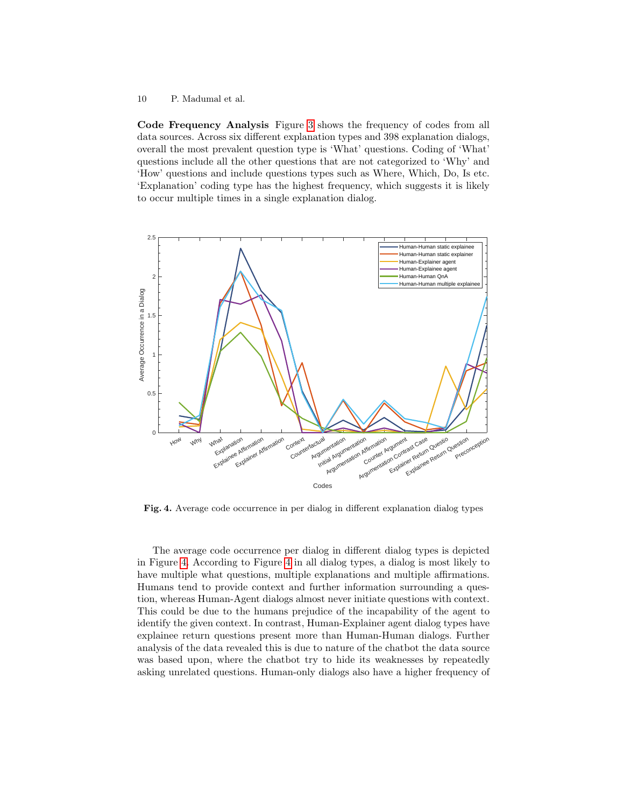Code Frequency Analysis Figure [3](#page-8-0) shows the frequency of codes from all data sources. Across six different explanation types and 398 explanation dialogs, overall the most prevalent question type is 'What' questions. Coding of 'What' questions include all the other questions that are not categorized to 'Why' and 'How' questions and include questions types such as Where, Which, Do, Is etc. 'Explanation' coding type has the highest frequency, which suggests it is likely to occur multiple times in a single explanation dialog.



<span id="page-9-0"></span>Fig. 4. Average code occurrence in per dialog in different explanation dialog types

The average code occurrence per dialog in different dialog types is depicted in Figure [4.](#page-9-0) According to Figure [4](#page-9-0) in all dialog types, a dialog is most likely to have multiple what questions, multiple explanations and multiple affirmations. Humans tend to provide context and further information surrounding a question, whereas Human-Agent dialogs almost never initiate questions with context. This could be due to the humans prejudice of the incapability of the agent to identify the given context. In contrast, Human-Explainer agent dialog types have explainee return questions present more than Human-Human dialogs. Further analysis of the data revealed this is due to nature of the chatbot the data source was based upon, where the chatbot try to hide its weaknesses by repeatedly asking unrelated questions. Human-only dialogs also have a higher frequency of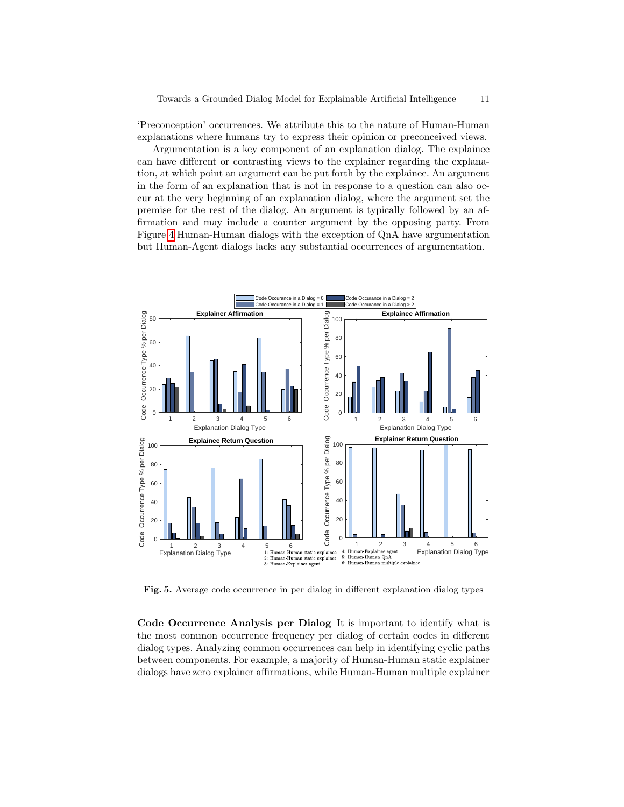'Preconception' occurrences. We attribute this to the nature of Human-Human explanations where humans try to express their opinion or preconceived views.

Argumentation is a key component of an explanation dialog. The explainee can have different or contrasting views to the explainer regarding the explanation, at which point an argument can be put forth by the explainee. An argument in the form of an explanation that is not in response to a question can also occur at the very beginning of an explanation dialog, where the argument set the premise for the rest of the dialog. An argument is typically followed by an affirmation and may include a counter argument by the opposing party. From Figure [4](#page-9-0) Human-Human dialogs with the exception of QnA have argumentation but Human-Agent dialogs lacks any substantial occurrences of argumentation.



<span id="page-10-0"></span>Fig. 5. Average code occurrence in per dialog in different explanation dialog types

Code Occurrence Analysis per Dialog It is important to identify what is the most common occurrence frequency per dialog of certain codes in different dialog types. Analyzing common occurrences can help in identifying cyclic paths between components. For example, a majority of Human-Human static explainer dialogs have zero explainer affirmations, while Human-Human multiple explainer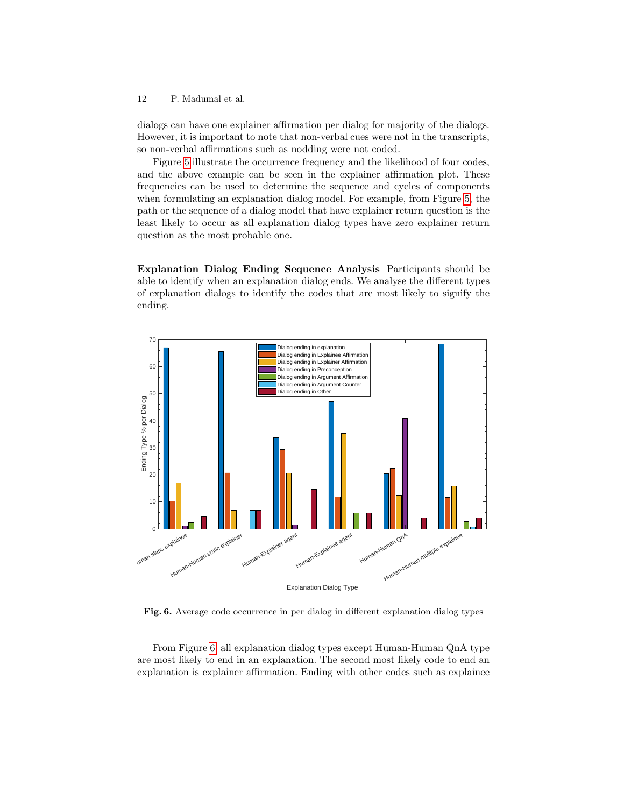dialogs can have one explainer affirmation per dialog for majority of the dialogs. However, it is important to note that non-verbal cues were not in the transcripts, so non-verbal affirmations such as nodding were not coded.

Figure [5](#page-10-0) illustrate the occurrence frequency and the likelihood of four codes, and the above example can be seen in the explainer affirmation plot. These frequencies can be used to determine the sequence and cycles of components when formulating an explanation dialog model. For example, from Figure [5,](#page-10-0) the path or the sequence of a dialog model that have explainer return question is the least likely to occur as all explanation dialog types have zero explainer return question as the most probable one.

Explanation Dialog Ending Sequence Analysis Participants should be able to identify when an explanation dialog ends. We analyse the different types of explanation dialogs to identify the codes that are most likely to signify the ending.



<span id="page-11-0"></span>Fig. 6. Average code occurrence in per dialog in different explanation dialog types

From Figure [6,](#page-11-0) all explanation dialog types except Human-Human QnA type are most likely to end in an explanation. The second most likely code to end an explanation is explainer affirmation. Ending with other codes such as explainee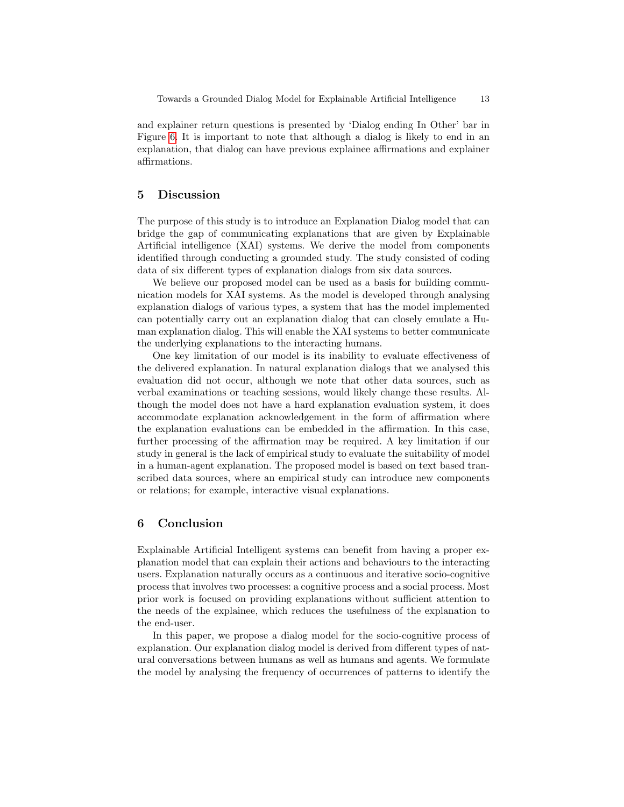and explainer return questions is presented by 'Dialog ending In Other' bar in Figure [6.](#page-11-0) It is important to note that although a dialog is likely to end in an explanation, that dialog can have previous explainee affirmations and explainer affirmations.

# 5 Discussion

The purpose of this study is to introduce an Explanation Dialog model that can bridge the gap of communicating explanations that are given by Explainable Artificial intelligence (XAI) systems. We derive the model from components identified through conducting a grounded study. The study consisted of coding data of six different types of explanation dialogs from six data sources.

We believe our proposed model can be used as a basis for building communication models for XAI systems. As the model is developed through analysing explanation dialogs of various types, a system that has the model implemented can potentially carry out an explanation dialog that can closely emulate a Human explanation dialog. This will enable the XAI systems to better communicate the underlying explanations to the interacting humans.

One key limitation of our model is its inability to evaluate effectiveness of the delivered explanation. In natural explanation dialogs that we analysed this evaluation did not occur, although we note that other data sources, such as verbal examinations or teaching sessions, would likely change these results. Although the model does not have a hard explanation evaluation system, it does accommodate explanation acknowledgement in the form of affirmation where the explanation evaluations can be embedded in the affirmation. In this case, further processing of the affirmation may be required. A key limitation if our study in general is the lack of empirical study to evaluate the suitability of model in a human-agent explanation. The proposed model is based on text based transcribed data sources, where an empirical study can introduce new components or relations; for example, interactive visual explanations.

# 6 Conclusion

Explainable Artificial Intelligent systems can benefit from having a proper explanation model that can explain their actions and behaviours to the interacting users. Explanation naturally occurs as a continuous and iterative socio-cognitive process that involves two processes: a cognitive process and a social process. Most prior work is focused on providing explanations without sufficient attention to the needs of the explainee, which reduces the usefulness of the explanation to the end-user.

In this paper, we propose a dialog model for the socio-cognitive process of explanation. Our explanation dialog model is derived from different types of natural conversations between humans as well as humans and agents. We formulate the model by analysing the frequency of occurrences of patterns to identify the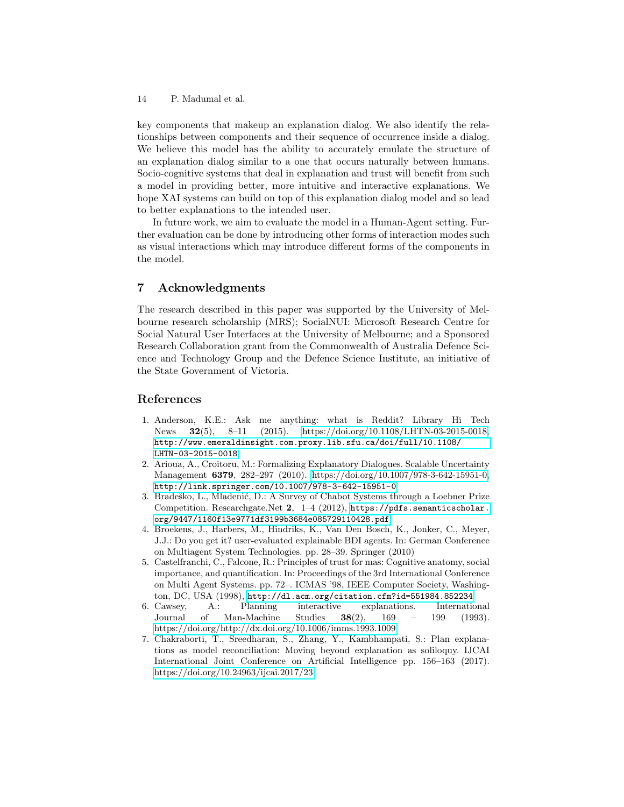key components that makeup an explanation dialog. We also identify the relationships between components and their sequence of occurrence inside a dialog. We believe this model has the ability to accurately emulate the structure of an explanation dialog similar to a one that occurs naturally between humans. Socio-cognitive systems that deal in explanation and trust will benefit from such a model in providing better, more intuitive and interactive explanations. We hope XAI systems can build on top of this explanation dialog model and so lead to better explanations to the intended user.

In future work, we aim to evaluate the model in a Human-Agent setting. Further evaluation can be done by introducing other forms of interaction modes such as visual interactions which may introduce different forms of the components in the model.

# 7 Acknowledgments

The research described in this paper was supported by the University of Melbourne research scholarship (MRS); SocialNUI: Microsoft Research Centre for Social Natural User Interfaces at the University of Melbourne; and a Sponsored Research Collaboration grant from the Commonwealth of Australia Defence Science and Technology Group and the Defence Science Institute, an initiative of the State Government of Victoria.

# References

- <span id="page-13-6"></span>1. Anderson, K.E.: Ask me anything: what is Reddit? Library Hi Tech News 32(5), 8–11 (2015). [https://doi.org/10.1108/LHTN-03-2015-0018,](https://doi.org/10.1108/LHTN-03-2015-0018) [http://www.emeraldinsight.com.proxy.lib.sfu.ca/doi/full/10.1108/](http://www.emeraldinsight.com.proxy.lib.sfu.ca/doi/full/10.1108/LHTN-03-2015-0018) [LHTN-03-2015-0018](http://www.emeraldinsight.com.proxy.lib.sfu.ca/doi/full/10.1108/LHTN-03-2015-0018)
- <span id="page-13-2"></span>2. Arioua, A., Croitoru, M.: Formalizing Explanatory Dialogues. Scalable Uncertainty Management 6379, 282–297 (2010). [https://doi.org/10.1007/978-3-642-15951-0,](https://doi.org/10.1007/978-3-642-15951-0) <http://link.springer.com/10.1007/978-3-642-15951-0>
- <span id="page-13-5"></span>3. Bradeško, L., Mladenić, D.: A Survey of Chabot Systems through a Loebner Prize Competition. Researchgate.Net 2, 1–4 (2012), [https://pdfs.semanticscholar.](https://pdfs.semanticscholar.org/9447/1160f13e9771df3199b3684e085729110428.pdf) [org/9447/1160f13e9771df3199b3684e085729110428.pdf](https://pdfs.semanticscholar.org/9447/1160f13e9771df3199b3684e085729110428.pdf)
- <span id="page-13-0"></span>4. Broekens, J., Harbers, M., Hindriks, K., Van Den Bosch, K., Jonker, C., Meyer, J.J.: Do you get it? user-evaluated explainable BDI agents. In: German Conference on Multiagent System Technologies. pp. 28–39. Springer (2010)
- <span id="page-13-4"></span>5. Castelfranchi, C., Falcone, R.: Principles of trust for mas: Cognitive anatomy, social importance, and quantification. In: Proceedings of the 3rd International Conference on Multi Agent Systems. pp. 72–. ICMAS '98, IEEE Computer Society, Washing-
- <span id="page-13-3"></span>ton, DC, USA (1998), <http://dl.acm.org/citation.cfm?id=551984.852234><br>6. Cawsev, A.: Planning interactive explanations. Internation A.: Planning interactive explanations. International Journal of Man-Machine Studies 38(2), 169 – 199 (1993). <https://doi.org/http://dx.doi.org/10.1006/imms.1993.1009>
- <span id="page-13-1"></span>7. Chakraborti, T., Sreedharan, S., Zhang, Y., Kambhampati, S.: Plan explanations as model reconciliation: Moving beyond explanation as soliloquy. IJCAI International Joint Conference on Artificial Intelligence pp. 156–163 (2017). <https://doi.org/10.24963/ijcai.2017/23>